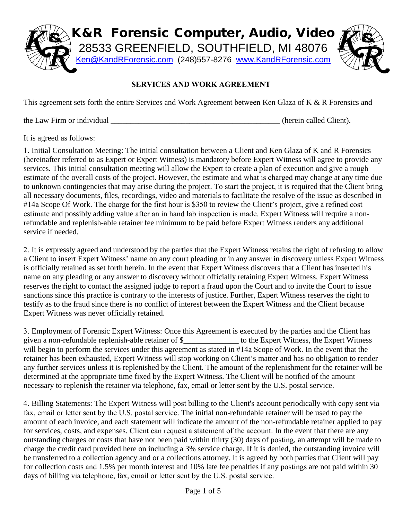

## **SERVICES AND WORK AGREEMENT**

This agreement sets forth the entire Services and Work Agreement between Ken Glaza of K & R Forensics and

the Law Firm or individual the Law Firm or individual the Law Firm or individual the Law Firm or individual the  $\frac{1}{2}$ 

It is agreed as follows:

1. Initial Consultation Meeting: The initial consultation between a Client and Ken Glaza of K and R Forensics (hereinafter referred to as Expert or Expert Witness) is mandatory before Expert Witness will agree to provide any services. This initial consultation meeting will allow the Expert to create a plan of execution and give a rough estimate of the overall costs of the project. However, the estimate and what is charged may change at any time due to unknown contingencies that may arise during the project. To start the project, it is required that the Client bring all necessary documents, files, recordings, video and materials to facilitate the resolve of the issue as described in #14a Scope Of Work. The charge for the first hour is \$350 to review the Client's project, give a refined cost estimate and possibly adding value after an in hand lab inspection is made. Expert Witness will require a nonrefundable and replenish-able retainer fee minimum to be paid before Expert Witness renders any additional service if needed.

2. It is expressly agreed and understood by the parties that the Expert Witness retains the right of refusing to allow a Client to insert Expert Witness' name on any court pleading or in any answer in discovery unless Expert Witness is officially retained as set forth herein. In the event that Expert Witness discovers that a Client has inserted his name on any pleading or any answer to discovery without officially retaining Expert Witness, Expert Witness reserves the right to contact the assigned judge to report a fraud upon the Court and to invite the Court to issue sanctions since this practice is contrary to the interests of justice. Further, Expert Witness reserves the right to testify as to the fraud since there is no conflict of interest between the Expert Witness and the Client because Expert Witness was never officially retained.

3. Employment of Forensic Expert Witness: Once this Agreement is executed by the parties and the Client has given a non-refundable replenish-able retainer of \$\_\_\_\_\_\_\_\_\_\_\_\_\_\_ to the Expert Witness, the Expert Witness will begin to perform the services under this agreement as stated in #14a Scope of Work. In the event that the retainer has been exhausted, Expert Witness will stop working on Client's matter and has no obligation to render any further services unless it is replenished by the Client. The amount of the replenishment for the retainer will be determined at the appropriate time fixed by the Expert Witness. The Client will be notified of the amount necessary to replenish the retainer via telephone, fax, email or letter sent by the U.S. postal service.

4. Billing Statements: The Expert Witness will post billing to the Client's account periodically with copy sent via fax, email or letter sent by the U.S. postal service. The initial non-refundable retainer will be used to pay the amount of each invoice, and each statement will indicate the amount of the non-refundable retainer applied to pay for services, costs, and expenses. Client can request a statement of the account. In the event that there are any outstanding charges or costs that have not been paid within thirty (30) days of posting, an attempt will be made to charge the credit card provided here on including a 3% service charge. If it is denied, the outstanding invoice will be transferred to a collection agency and or a collections attorney. It is agreed by both parties that Client will pay for collection costs and 1.5% per month interest and 10% late fee penalties if any postings are not paid within 30 days of billing via telephone, fax, email or letter sent by the U.S. postal service.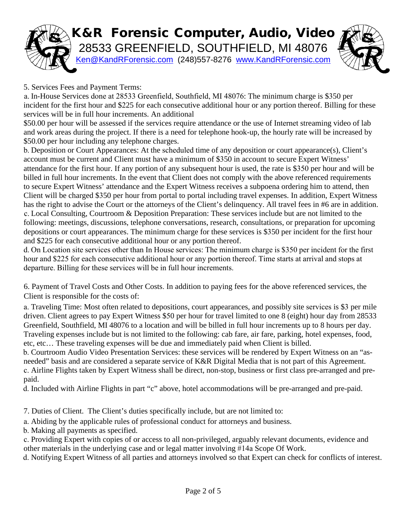

5. Services Fees and Payment Terms:

a. In-House Services done at 28533 Greenfield, Southfield, MI 48076: The minimum charge is \$350 per incident for the first hour and \$225 for each consecutive additional hour or any portion thereof. Billing for these services will be in full hour increments. An additional

\$50.00 per hour will be assessed if the services require attendance or the use of Internet streaming video of lab and work areas during the project. If there is a need for telephone hook-up, the hourly rate will be increased by \$50.00 per hour including any telephone charges.

b. Deposition or Court Appearances: At the scheduled time of any deposition or court appearance(s), Client's account must be current and Client must have a minimum of \$350 in account to secure Expert Witness' attendance for the first hour. If any portion of any subsequent hour is used, the rate is \$350 per hour and will be billed in full hour increments. In the event that Client does not comply with the above referenced requirements to secure Expert Witness' attendance and the Expert Witness receives a subpoena ordering him to attend, then Client will be charged \$350 per hour from portal to portal including travel expenses. In addition, Expert Witness has the right to advise the Court or the attorneys of the Client's delinquency. All travel fees in #6 are in addition. c. Local Consulting, Courtroom & Deposition Preparation: These services include but are not limited to the following: meetings, discussions, telephone conversations, research, consultations, or preparation for upcoming depositions or court appearances. The minimum charge for these services is \$350 per incident for the first hour and \$225 for each consecutive additional hour or any portion thereof.

d. On Location site services other than In House services: The minimum charge is \$350 per incident for the first hour and \$225 for each consecutive additional hour or any portion thereof. Time starts at arrival and stops at departure. Billing for these services will be in full hour increments.

6. Payment of Travel Costs and Other Costs. In addition to paying fees for the above referenced services, the Client is responsible for the costs of:

a. Traveling Time: Most often related to depositions, court appearances, and possibly site services is \$3 per mile driven. Client agrees to pay Expert Witness \$50 per hour for travel limited to one 8 (eight) hour day from 28533 Greenfield, Southfield, MI 48076 to a location and will be billed in full hour increments up to 8 hours per day. Traveling expenses include but is not limited to the following: cab fare, air fare, parking, hotel expenses, food, etc, etc… These traveling expenses will be due and immediately paid when Client is billed.

b. Courtroom Audio Video Presentation Services: these services will be rendered by Expert Witness on an "asneeded" basis and are considered a separate service of K&R Digital Media that is not part of this Agreement. c. Airline Flights taken by Expert Witness shall be direct, non-stop, business or first class pre-arranged and prepaid.

d. Included with Airline Flights in part "c" above, hotel accommodations will be pre-arranged and pre-paid.

7. Duties of Client. The Client's duties specifically include, but are not limited to:

a. Abiding by the applicable rules of professional conduct for attorneys and business.

b. Making all payments as specified.

c. Providing Expert with copies of or access to all non-privileged, arguably relevant documents, evidence and other materials in the underlying case and or legal matter involving #14a Scope Of Work.

d. Notifying Expert Witness of all parties and attorneys involved so that Expert can check for conflicts of interest.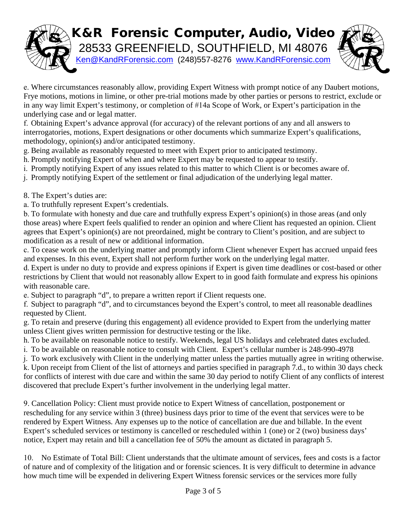## K&R Forensic Computer, Audio, Video 28533 GREENFIELD, SOUTHFIELD, MI 48076 [Ken@KandRForensic.com](mailto:Ken@KandRForensic.com) (248)557-8276 [www.KandRForensic.com](http://www.kandrforensic.com/)

e. Where circumstances reasonably allow, providing Expert Witness with prompt notice of any Daubert motions, Frye motions, motions in limine, or other pre-trial motions made by other parties or persons to restrict, exclude or in any way limit Expert's testimony, or completion of #14a Scope of Work, or Expert's participation in the underlying case and or legal matter.

f. Obtaining Expert's advance approval (for accuracy) of the relevant portions of any and all answers to interrogatories, motions, Expert designations or other documents which summarize Expert's qualifications, methodology, opinion(s) and/or anticipated testimony.

- g. Being available as reasonably requested to meet with Expert prior to anticipated testimony.
- h. Promptly notifying Expert of when and where Expert may be requested to appear to testify.
- i. Promptly notifying Expert of any issues related to this matter to which Client is or becomes aware of.
- j. Promptly notifying Expert of the settlement or final adjudication of the underlying legal matter.

8. The Expert's duties are:

a. To truthfully represent Expert's credentials.

b. To formulate with honesty and due care and truthfully express Expert's opinion(s) in those areas (and only those areas) where Expert feels qualified to render an opinion and where Client has requested an opinion. Client agrees that Expert's opinion(s) are not preordained, might be contrary to Client's position, and are subject to modification as a result of new or additional information.

c. To cease work on the underlying matter and promptly inform Client whenever Expert has accrued unpaid fees and expenses. In this event, Expert shall not perform further work on the underlying legal matter.

d. Expert is under no duty to provide and express opinions if Expert is given time deadlines or cost-based or other restrictions by Client that would not reasonably allow Expert to in good faith formulate and express his opinions with reasonable care.

e. Subject to paragraph "d", to prepare a written report if Client requests one.

f. Subject to paragraph "d", and to circumstances beyond the Expert's control, to meet all reasonable deadlines requested by Client.

g. To retain and preserve (during this engagement) all evidence provided to Expert from the underlying matter unless Client gives written permission for destructive testing or the like.

h. To be available on reasonable notice to testify. Weekends, legal US holidays and celebrated dates excluded.

i. To be available on reasonable notice to consult with Client. Expert's cellular number is 248-990-4978

j. To work exclusively with Client in the underlying matter unless the parties mutually agree in writing otherwise.

k. Upon receipt from Client of the list of attorneys and parties specified in paragraph 7.d., to within 30 days check for conflicts of interest with due care and within the same 30 day period to notify Client of any conflicts of interest discovered that preclude Expert's further involvement in the underlying legal matter.

9. Cancellation Policy: Client must provide notice to Expert Witness of cancellation, postponement or rescheduling for any service within 3 (three) business days prior to time of the event that services were to be rendered by Expert Witness. Any expenses up to the notice of cancellation are due and billable. In the event Expert's scheduled services or testimony is cancelled or rescheduled within 1 (one) or 2 (two) business days' notice, Expert may retain and bill a cancellation fee of 50% the amount as dictated in paragraph 5.

10. No Estimate of Total Bill: Client understands that the ultimate amount of services, fees and costs is a factor of nature and of complexity of the litigation and or forensic sciences. It is very difficult to determine in advance how much time will be expended in delivering Expert Witness forensic services or the services more fully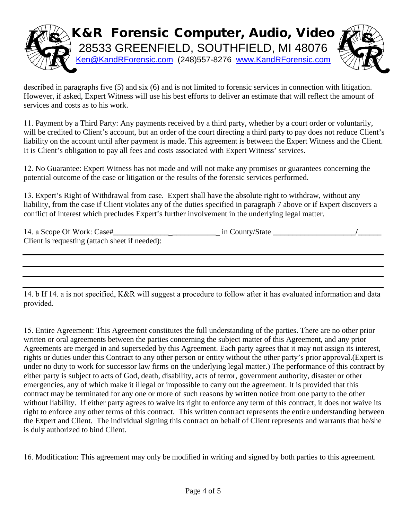

described in paragraphs five (5) and six (6) and is not limited to forensic services in connection with litigation. However, if asked, Expert Witness will use his best efforts to deliver an estimate that will reflect the amount of services and costs as to his work.

11. Payment by a Third Party: Any payments received by a third party, whether by a court order or voluntarily, will be credited to Client's account, but an order of the court directing a third party to pay does not reduce Client's liability on the account until after payment is made. This agreement is between the Expert Witness and the Client. It is Client's obligation to pay all fees and costs associated with Expert Witness' services.

12. No Guarantee: Expert Witness has not made and will not make any promises or guarantees concerning the potential outcome of the case or litigation or the results of the forensic services performed.

13. Expert's Right of Withdrawal from case. Expert shall have the absolute right to withdraw, without any liability, from the case if Client violates any of the duties specified in paragraph 7 above or if Expert discovers a conflict of interest which precludes Expert's further involvement in the underlying legal matter.

| 14. a Scope Of Work: Case#                     | in County/State |  |
|------------------------------------------------|-----------------|--|
| Client is requesting (attach sheet if needed): |                 |  |

14. b If 14. a is not specified, K&R will suggest a procedure to follow after it has evaluated information and data provided.

15. Entire Agreement: This Agreement constitutes the full understanding of the parties. There are no other prior written or oral agreements between the parties concerning the subject matter of this Agreement, and any prior Agreements are merged in and superseded by this Agreement. Each party agrees that it may not assign its interest, rights or duties under this Contract to any other person or entity without the other party's prior approval.(Expert is under no duty to work for successor law firms on the underlying legal matter.) The performance of this contract by either party is subject to acts of God, death, disability, acts of terror, government authority, disaster or other emergencies, any of which make it illegal or impossible to carry out the agreement. It is provided that this contract may be terminated for any one or more of such reasons by written notice from one party to the other without liability. If either party agrees to waive its right to enforce any term of this contract, it does not waive its right to enforce any other terms of this contract. This written contract represents the entire understanding between the Expert and Client. The individual signing this contract on behalf of Client represents and warrants that he/she is duly authorized to bind Client.

16. Modification: This agreement may only be modified in writing and signed by both parties to this agreement.